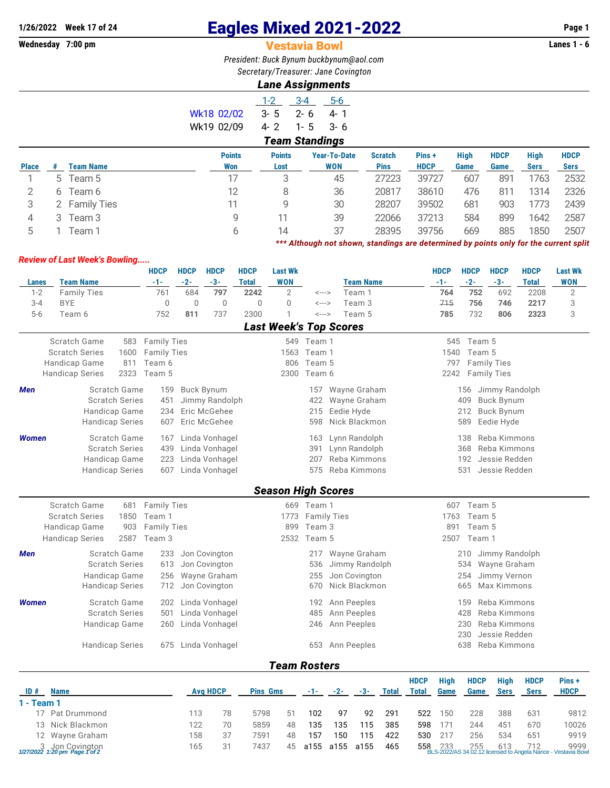## **1/26/2022** Week 17 of 24 **Eagles Mixed 2021-2022** Page 1<br>**Wednesday 7:00 pm Page 1 Vestavia Bowl Page 1 Vestavia Bowl**

## **Vestavia Bowl**

*President: Buck Bynum [buckbynum@aol.com](mailto:buckbynum@aol.com) Secretary/Treasurer: Jane Covington*

## *Lane Assignments*

|              |   |                  |               | $1 - 2$       | $3 - 4$<br>$5-6$      |                |             |      |             |             |             |
|--------------|---|------------------|---------------|---------------|-----------------------|----------------|-------------|------|-------------|-------------|-------------|
|              |   |                  | Wk18 02/02    | $3 - 5$       | $2 - 6$<br>4-1        |                |             |      |             |             |             |
|              |   |                  | Wk19 02/09    | $4 - 2$       | $3 - 6$<br>$1 - 5$    |                |             |      |             |             |             |
|              |   |                  |               |               | <b>Team Standings</b> |                |             |      |             |             |             |
|              |   |                  | <b>Points</b> | <b>Points</b> | <b>Year-To-Date</b>   | <b>Scratch</b> | Pins+       | High | <b>HDCP</b> | <b>High</b> | <b>HDCP</b> |
| <b>Place</b> | # | <b>Team Name</b> | Won           | Lost          | <b>WON</b>            | <b>Pins</b>    | <b>HDCP</b> | Game | Game        | <b>Sers</b> | <b>Sers</b> |
|              |   | 5 Team 5         | 17            | 3             | 45                    | 27223          | 39727       | 607  | 891         | 1763        | 2532        |
| 2            |   | 6 Team 6         | 12            | 8             | 36                    | 20817          | 38610       | 476  | 811         | 1314        | 2326        |
| 3            |   | 2 Family Ties    | 11            | 9             | 30                    | 28207          | 39502       | 681  | 903         | 1773        | 2439        |
| 4            |   | 3 Team 3         | 9             | 11            | 39                    | 22066          | 37213       | 584  | 899         | 1642        | 2587        |
| 5            |   | Team 1           | 6             | 14            | 37                    | 28395          | 39756       | 669  | 885         | 1850        | 2507        |
|              |   |                  |               |               |                       |                |             |      |             |             |             |

*\*\*\* Although not shown, standings are determined by points only for the current split*

## *Review of Last Week's Bowling.....*

|              |                                | <b>HDCP</b>        | <b>HDCP</b> | <b>HDCP</b>       | <b>HDCP</b>  | <b>Last Wk</b>                |                    |       |                  |              |              | <b>HDCP</b> | <b>HDCP</b>      | <b>HDCP</b>                   | <b>HDCP</b>  | <b>Last Wk</b> |
|--------------|--------------------------------|--------------------|-------------|-------------------|--------------|-------------------------------|--------------------|-------|------------------|--------------|--------------|-------------|------------------|-------------------------------|--------------|----------------|
| Lanes        | <b>Team Name</b>               | $-1-$              | $-2-$       | $-3-$             | <b>Total</b> | <b>WON</b>                    |                    |       | <b>Team Name</b> |              |              | $-1-$       | $-2-$            | $-3-$                         | <b>Total</b> | <b>WON</b>     |
| $1 - 2$      | <b>Family Ties</b>             | 761                | 684         | 797               | 2242         | $\overline{2}$                | $\leftarrow$ --->  |       | Team 1           |              |              | 764         | 752              | 692                           | 2208         | $\sqrt{2}$     |
| $3 - 4$      | <b>BYE</b>                     | $\mathsf 0$        | $\mathbf 0$ | $\mathbf 0$       | $\mathbf 0$  | 0                             | $\leftarrow$ --->  |       | Team 3           |              |              | 715         | 756              | 746                           | 2217         | 3              |
| $5-6$        | Team 6                         | 752                | 811         | 737               | 2300         | 1                             | $\leftarrow$ --->  |       | Team 5           |              |              | 785         | 732              | 806                           | 2323         | 3              |
|              |                                |                    |             |                   |              | <b>Last Week's Top Scores</b> |                    |       |                  |              |              |             |                  |                               |              |                |
|              | <b>Scratch Game</b><br>583     | <b>Family Ties</b> |             |                   |              |                               | 549 Team 1         |       |                  |              |              | 545         | Team 5           |                               |              |                |
|              | <b>Scratch Series</b><br>1600  | <b>Family Ties</b> |             |                   |              | 1563                          | Team 1             |       |                  |              |              | 1540        | Team 5           |                               |              |                |
|              | Handicap Game<br>811           | Team 6             |             |                   |              | 806                           | Team 5             |       |                  |              |              | 797         |                  | <b>Family Ties</b>            |              |                |
|              | 2323<br><b>Handicap Series</b> | Team 5             |             |                   |              | 2300                          | Team 6             |       |                  |              |              |             | 2242 Family Ties |                               |              |                |
|              | Scratch Game                   |                    |             |                   |              |                               |                    |       |                  |              |              |             |                  |                               |              |                |
| <b>Men</b>   | <b>Scratch Series</b>          | 159                |             | <b>Buck Bynum</b> |              |                               | 157                |       | Wayne Graham     |              |              |             | 156              | Jimmy Randolph                |              |                |
|              |                                | 451                |             | Jimmy Randolph    |              |                               | 422                |       | Wayne Graham     |              |              |             | 409              | <b>Buck Bynum</b>             |              |                |
|              | Handicap Game                  | 234                |             | Eric McGehee      |              |                               | 215                |       | Eedie Hyde       |              |              |             | 212              | <b>Buck Bynum</b>             |              |                |
|              | <b>Handicap Series</b>         | 607                |             | Eric McGehee      |              |                               | 598                |       | Nick Blackmon    |              |              |             | 589              | Eedie Hyde                    |              |                |
| <b>Women</b> | Scratch Game                   | 167                |             | Linda Vonhagel    |              |                               | 163                |       | Lynn Randolph    |              |              |             | 138              | Reba Kimmons                  |              |                |
|              | <b>Scratch Series</b>          | 439                |             | Linda Vonhagel    |              |                               | 391                |       | Lynn Randolph    |              |              |             | 368              | Reba Kimmons                  |              |                |
|              | Handicap Game                  | 223                |             | Linda Vonhagel    |              |                               | 207                |       | Reba Kimmons     |              |              |             | 192              | Jessie Redden                 |              |                |
|              | <b>Handicap Series</b>         | 607                |             | Linda Vonhagel    |              |                               | 575                |       | Reba Kimmons     |              |              |             | 531              | Jessie Redden                 |              |                |
|              |                                |                    |             |                   |              |                               |                    |       |                  |              |              |             |                  |                               |              |                |
|              |                                |                    |             |                   |              | <b>Season High Scores</b>     |                    |       |                  |              |              |             |                  |                               |              |                |
|              | Scratch Game<br>681            | <b>Family Ties</b> |             |                   |              |                               | 669 Team 1         |       |                  |              |              | 607         | Team 5           |                               |              |                |
|              | <b>Scratch Series</b><br>1850  | Team 1             |             |                   |              | 1773                          | <b>Family Ties</b> |       |                  |              |              | 1763        | Team 5           |                               |              |                |
|              | Handicap Game<br>903           | <b>Family Ties</b> |             |                   |              | 899                           | Team 3             |       |                  |              |              | 891         | Team 5           |                               |              |                |
|              | 2587<br><b>Handicap Series</b> | Team 3             |             |                   |              | 2532                          | Team 5             |       |                  |              |              | 2507        | Team 1           |                               |              |                |
| Men          | Scratch Game                   | 233                |             | Jon Covington     |              |                               | 217                |       | Wayne Graham     |              |              |             | 210              | Jimmy Randolph                |              |                |
|              | <b>Scratch Series</b>          | 613                |             | Jon Covington     |              |                               | 536                |       | Jimmy Randolph   |              |              |             | 534              | Wayne Graham                  |              |                |
|              | Handicap Game                  | 256                |             | Wayne Graham      |              |                               | 255                |       | Jon Covington    |              |              |             | 254              | Jimmy Vernon                  |              |                |
|              | <b>Handicap Series</b>         | 712                |             | Jon Covington     |              |                               | 670                |       | Nick Blackmon    |              |              |             | 665              | Max Kimmons                   |              |                |
|              | Scratch Game                   |                    |             |                   |              |                               |                    |       |                  |              |              |             |                  | Reba Kimmons                  |              |                |
| <b>Women</b> | <b>Scratch Series</b>          | 202                |             | Linda Vonhagel    |              |                               | 192                |       | Ann Peeples      |              |              |             | 159<br>428       | Reba Kimmons                  |              |                |
|              |                                | 501                |             | Linda Vonhagel    |              |                               | 485                |       | Ann Peeples      |              |              |             |                  |                               |              |                |
|              | Handicap Game                  | 260                |             | Linda Vonhagel    |              |                               | 246                |       | Ann Peeples      |              |              |             | 230<br>230       | Reba Kimmons<br>Jessie Redden |              |                |
|              | <b>Handicap Series</b>         | 675                |             | Linda Vonhagel    |              |                               | 653                |       | Ann Peeples      |              |              |             | 638              | Reba Kimmons                  |              |                |
|              |                                |                    |             |                   |              |                               |                    |       |                  |              |              |             |                  |                               |              |                |
|              |                                |                    |             |                   |              | <b>Team Rosters</b>           |                    |       |                  |              |              |             |                  |                               |              |                |
|              |                                |                    |             |                   |              |                               |                    |       |                  |              | <b>HDCP</b>  | <b>High</b> | <b>HDCP</b>      | <b>High</b>                   | <b>HDCP</b>  | Pins+          |
| ID#          | <b>Name</b>                    |                    |             | <b>Avg HDCP</b>   |              | <b>Pins Gms</b>               | -1-                | $-2-$ | $-3-$            | <b>Total</b> | <b>Total</b> | <b>Game</b> | Game             | <b>Sers</b>                   | <b>Sers</b>  | <b>HDCP</b>    |
| 1 - Team 1   |                                |                    |             |                   |              |                               |                    |       |                  |              |              |             |                  |                               |              |                |
|              | 17 Pat Drummond                |                    | 113         | 78                | 5798         | 51                            | 102                |       | 97<br>92         | 291          | 522          | 150         | 228              | 388                           | 631          | 9812           |
|              | 13 Nick Blackmon               |                    | 122         | 70                | 5859         | 48                            | 135                | 135   | 115              | 385          | 598          | 171         | 244              | 451                           | 670          | 10026          |

12 Wayne Graham 158 37 7591 48 157 150 115 422 530 217 256 534 651 9919 3 Jon Covington 165 31 7437 45 a155 a155 a155 465 558 233 255 613 712 9999 *1/27/2022 1:20 pm Page 1 of 2* BLS-2022/AS 34.02.12 licensed to Angela Nance - Vestavia Bowl